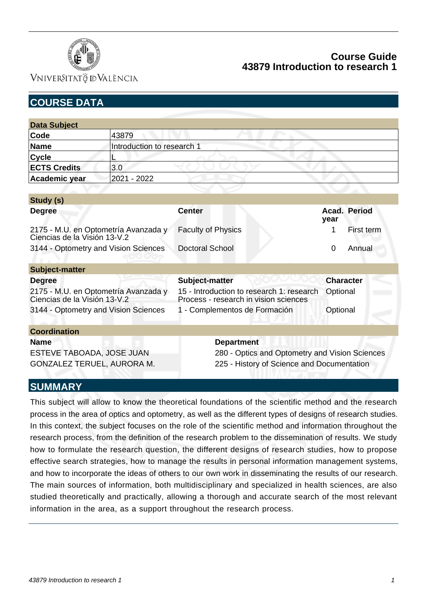

VNIVERSITATÖ ID VALÈNCIA

| <b>COURSE DATA</b>                                                   |                            |                                                                                    |                      |  |
|----------------------------------------------------------------------|----------------------------|------------------------------------------------------------------------------------|----------------------|--|
|                                                                      |                            |                                                                                    |                      |  |
| <b>Data Subject</b>                                                  |                            |                                                                                    |                      |  |
| Code                                                                 | 43879                      |                                                                                    |                      |  |
| <b>Name</b>                                                          | Introduction to research 1 |                                                                                    |                      |  |
| <b>Cycle</b>                                                         |                            |                                                                                    |                      |  |
| <b>ECTS Credits</b>                                                  | 3.0                        |                                                                                    |                      |  |
| Academic year                                                        | 2021 - 2022                |                                                                                    |                      |  |
| Study (s)                                                            |                            |                                                                                    |                      |  |
| <b>Degree</b>                                                        |                            | <b>Center</b>                                                                      | Acad. Period<br>year |  |
| 2175 - M.U. en Optometría Avanzada y<br>Ciencias de la Visión 13-V.2 |                            | <b>Faculty of Physics</b>                                                          | First term           |  |
| 3144 - Optometry and Vision Sciences                                 |                            | <b>Doctoral School</b>                                                             | $\Omega$<br>Annual   |  |
| <b>Subject-matter</b>                                                |                            |                                                                                    |                      |  |
| <b>Degree</b>                                                        |                            | Subject-matter                                                                     | <b>Character</b>     |  |
| 2175 - M.U. en Optometría Avanzada y<br>Ciencias de la Visión 13-V.2 |                            | 15 - Introduction to research 1: research<br>Process - research in vision sciences | Optional             |  |
| 3144 - Optometry and Vision Sciences                                 |                            | 1 - Complementos de Formación                                                      | Optional             |  |
| <b>Coordination</b>                                                  |                            |                                                                                    |                      |  |
| <b>Name</b>                                                          |                            | <b>Department</b>                                                                  |                      |  |
| ESTEVE TABOADA, JOSE JUAN                                            |                            | 280 - Optics and Optometry and Vision Sciences                                     |                      |  |

## **SUMMARY**

This subject will allow to know the theoretical foundations of the scientific method and the research process in the area of optics and optometry, as well as the different types of designs of research studies. In this context, the subject focuses on the role of the scientific method and information throughout the research process, from the definition of the research problem to the dissemination of results. We study how to formulate the research question, the different designs of research studies, how to propose effective search strategies, how to manage the results in personal information management systems, and how to incorporate the ideas of others to our own work in disseminating the results of our research. The main sources of information, both multidisciplinary and specialized in health sciences, are also studied theoretically and practically, allowing a thorough and accurate search of the most relevant information in the area, as a support throughout the research process.

GONZALEZ TERUEL, AURORA M. 225 - History of Science and Documentation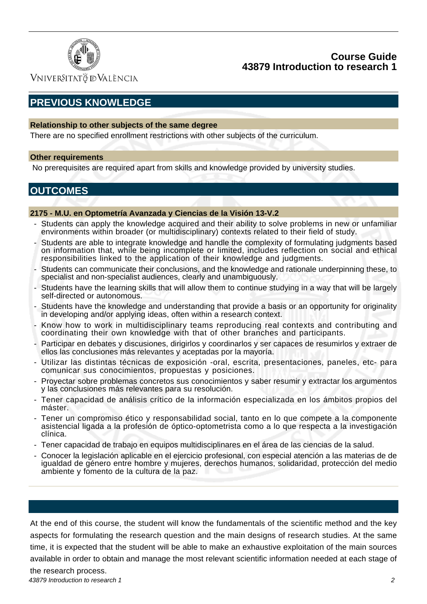

Vniver§itatğ dValència

# **PREVIOUS KNOWLEDGE**

#### **Relationship to other subjects of the same degree**

There are no specified enrollment restrictions with other subjects of the curriculum.

#### **Other requirements**

No prerequisites are required apart from skills and knowledge provided by university studies.

## **OUTCOMES**

#### **2175 - M.U. en Optometría Avanzada y Ciencias de la Visión 13-V.2**

- Students can apply the knowledge acquired and their ability to solve problems in new or unfamiliar environments within broader (or multidisciplinary) contexts related to their field of study.
- Students are able to integrate knowledge and handle the complexity of formulating judgments based on information that, while being incomplete or limited, includes reflection on social and ethical responsibilities linked to the application of their knowledge and judgments.
- Students can communicate their conclusions, and the knowledge and rationale underpinning these, to specialist and non-specialist audiences, clearly and unambiguously.
- Students have the learning skills that will allow them to continue studying in a way that will be largely self-directed or autonomous.
- Students have the knowledge and understanding that provide a basis or an opportunity for originality in developing and/or applying ideas, often within a research context.
- Know how to work in multidisciplinary teams reproducing real contexts and contributing and coordinating their own knowledge with that of other branches and participants.
- Participar en debates y discusiones, dirigirlos y coordinarlos y ser capaces de resumirlos y extraer de ellos las conclusiones más relevantes y aceptadas por la mayoría.
- Utilizar las distintas técnicas de exposición -oral, escrita, presentaciones, paneles, etc- para comunicar sus conocimientos, propuestas y posiciones.
- Proyectar sobre problemas concretos sus conocimientos y saber resumir y extractar los argumentos y las conclusiones más relevantes para su resolución.
- Tener capacidad de análisis crítico de la información especializada en los ámbitos propios del máster.
- Tener un compromiso ético y responsabilidad social, tanto en lo que compete a la componente asistencial ligada a la profesión de óptico-optometrista como a lo que respecta a la investigación clínica.
- Tener capacidad de trabajo en equipos multidisciplinares en el área de las ciencias de la salud.
- Conocer la legislación aplicable en el ejercicio profesional, con especial atención a las materias de de igualdad de género entre hombre y mujeres, derechos humanos, solidaridad, protección del medio ambiente y fomento de la cultura de la paz.

At the end of this course, the student will know the fundamentals of the scientific method and the key aspects for formulating the research question and the main designs of research studies. At the same time, it is expected that the student will be able to make an exhaustive exploitation of the main sources available in order to obtain and manage the most relevant scientific information needed at each stage of the research process.

43879 Introduction to research 1 2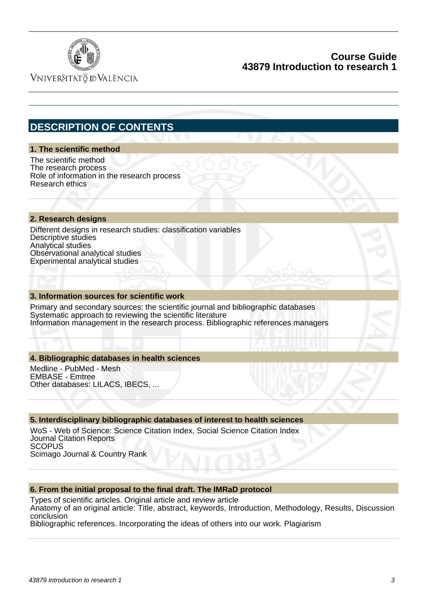

VNIVERSITATÖ ID VALÈNCIA

## **DESCRIPTION OF CONTENTS**

#### **1. The scientific method**

The scientific method The research process Role of information in the research process Research ethics

#### **2. Research designs**

Different designs in research studies: classification variables Descriptive studies Analytical studies Observational analytical studies Experimental analytical studies

#### **3. Information sources for scientific work**

Primary and secondary sources: the scientific journal and bibliographic databases Systematic approach to reviewing the scientific literature Information management in the research process. Bibliographic references managers

#### **4. Bibliographic databases in health sciences**

Medline - PubMed - Mesh EMBASE - Emtree Other databases: LILACS, IBECS, ...

#### **5. Interdisciplinary bibliographic databases of interest to health sciences**

WoS - Web of Science: Science Citation Index, Social Science Citation Index Journal Citation Reports **SCOPUS** Scimago Journal & Country Rank

#### **6. From the initial proposal to the final draft. The IMRaD protocol**

Types of scientific articles. Original article and review article Anatomy of an original article: Title, abstract, keywords, Introduction, Methodology, Results, Discussion conclusion

Bibliographic references. Incorporating the ideas of others into our work. Plagiarism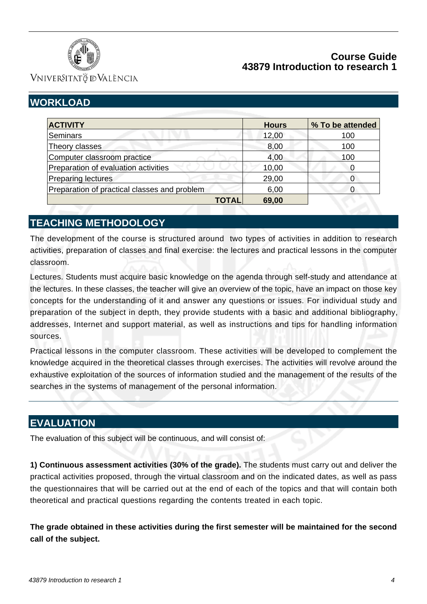

VNIVERSITATÖ IDVALÈNCIA

# **WORKLOAD**

|              | <b>Hours</b> | % To be attended |
|--------------|--------------|------------------|
|              | 12,00        | 100              |
|              | 8,00         | 100              |
|              | 4,00         | 100              |
|              | 10,00        |                  |
|              | 29,00        |                  |
|              | 6,00         | 0                |
| <b>TOTAL</b> | 69,00        |                  |
|              |              |                  |

## **TEACHING METHODOLOGY**

The development of the course is structured around two types of activities in addition to research activities, preparation of classes and final exercise: the lectures and practical lessons in the computer classroom.

Lectures. Students must acquire basic knowledge on the agenda through self-study and attendance at the lectures. In these classes, the teacher will give an overview of the topic, have an impact on those key concepts for the understanding of it and answer any questions or issues. For individual study and preparation of the subject in depth, they provide students with a basic and additional bibliography, addresses, Internet and support material, as well as instructions and tips for handling information sources.

Practical lessons in the computer classroom. These activities will be developed to complement the knowledge acquired in the theoretical classes through exercises. The activities will revolve around the exhaustive exploitation of the sources of information studied and the management of the results of the searches in the systems of management of the personal information.

## **EVALUATION**

The evaluation of this subject will be continuous, and will consist of:

**1) Continuous assessment activities (30% of the grade).** The students must carry out and deliver the practical activities proposed, through the virtual classroom and on the indicated dates, as well as pass the questionnaires that will be carried out at the end of each of the topics and that will contain both theoretical and practical questions regarding the contents treated in each topic.

**The grade obtained in these activities during the first semester will be maintained for the second call of the subject.**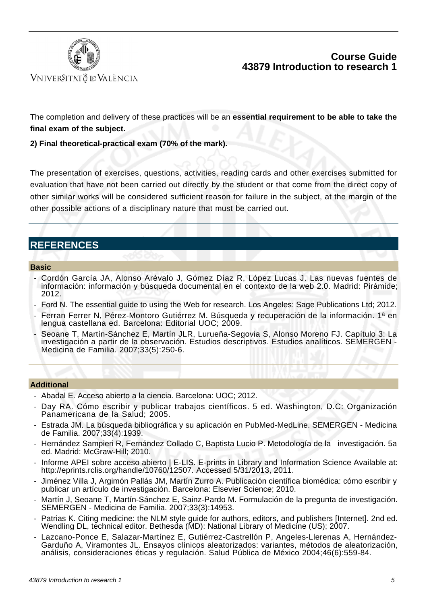

The completion and delivery of these practices will be an **essential requirement to be able to take the final exam of the subject.**

#### **2) Final theoretical-practical exam (70% of the mark).**

The presentation of exercises, questions, activities, reading cards and other exercises submitted for evaluation that have not been carried out directly by the student or that come from the direct copy of other similar works will be considered sufficient reason for failure in the subject, at the margin of the other possible actions of a disciplinary nature that must be carried out.

## **REFERENCES**

#### **Basic**

- Cordón García JA, Alonso Arévalo J, Gómez Díaz R, López Lucas J. Las nuevas fuentes de información: información y búsqueda documental en el contexto de la web 2.0. Madrid: Pirámide; 2012.
- Ford N. The essential guide to using the Web for research. Los Angeles: Sage Publications Ltd; 2012.
- Ferran Ferrer N, Pérez-Montoro Gutiérrez M. Búsqueda y recuperación de la información. 1ª en lengua castellana ed. Barcelona: Editorial UOC; 2009.
- Seoane T, Martín-Sánchez E, Martín JLR, Lurueña-Segovia S, Alonso Moreno FJ. Capítulo 3: La investigación a partir de la observación. Estudios descriptivos. Estudios analíticos. SEMERGEN - Medicina de Familia. 2007;33(5):250-6.

#### **Additional**

- Abadal E. Acceso abierto a la ciencia. Barcelona: UOC; 2012.
- Day RA. Cómo escribir y publicar trabajos científicos. 5 ed. Washington, D.C: Organización Panamericana de la Salud; 2005.
- Estrada JM. La búsqueda bibliográfica y su aplicación en PubMed-MedLine. SEMERGEN Medicina de Familia. 2007;33(4):1939.
- Hernández Sampieri R, Fernández Collado C, Baptista Lucio P. Metodología de la investigación. 5a ed. Madrid: McGraw-Hill; 2010.
- Informe APEI sobre acceso abierto | E-LIS. E-prints in Library and Information Science Available at: http://eprints.rclis.org/handle/10760/12507. Accessed 5/31/2013, 2011.
- Jiménez Villa J, Argimón Pallás JM, Martín Zurro A. Publicación científica biomédica: cómo escribir y publicar un artículo de investigación. Barcelona: Elsevier Science; 2010.
- Martín J, Seoane T, Martín-Sánchez E, Sainz-Pardo M. Formulación de la pregunta de investigación. SEMERGEN - Medicina de Familia. 2007;33(3):14953.
- Patrias K. Citing medicine: the NLM style guide for authors, editors, and publishers [Internet]. 2nd ed. Wendling DL, technical editor. Bethesda (MD): National Library of Medicine (US); 2007.
- Lazcano-Ponce E, Salazar-Martínez E, Gutiérrez-Castrellón P, Angeles-Llerenas A, Hernández-Garduño A, Viramontes JL. Ensayos clínicos aleatorizados: variantes, métodos de aleatorización, análisis, consideraciones éticas y regulación. Salud Pública de México 2004;46(6):559-84.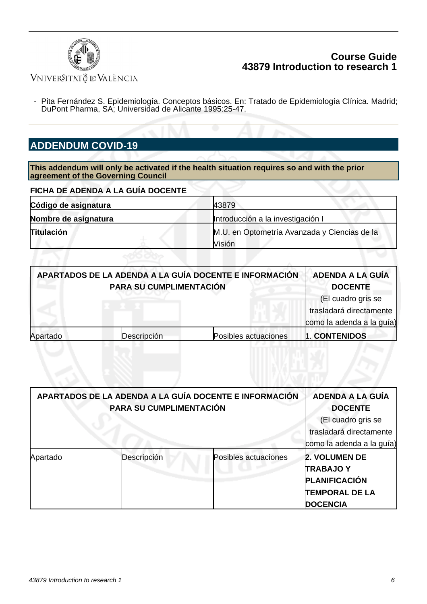

## VNIVERSITATÖ EVALÈNCIA

 - Pita Fernández S. Epidemiología. Conceptos básicos. En: Tratado de Epidemiología Clínica. Madrid; DuPont Pharma, SA; Universidad de Alicante 1995:25-47.

# **ADDENDUM COVID-19**

**This addendum will only be activated if the health situation requires so and with the prior agreement of the Governing Council**

| FICHA DE ADENDA A LA GUÍA DOCENTE |                                              |  |
|-----------------------------------|----------------------------------------------|--|
| Código de asignatura              | 43879                                        |  |
| Nombre de asignatura              | Introducción a la investigación I            |  |
| <b>Titulación</b>                 | M.U. en Optometría Avanzada y Ciencias de la |  |
|                                   | Visión                                       |  |

| APARTADOS DE LA ADENDA A LA GUÍA DOCENTE E INFORMACIÓN<br>PARA SU CUMPLIMENTACIÓN |             |                      | <b>ADENDA A LA GUÍA</b><br><b>DOCENTE</b>                                  |
|-----------------------------------------------------------------------------------|-------------|----------------------|----------------------------------------------------------------------------|
|                                                                                   |             |                      | (El cuadro gris se<br>trasladará directamente<br>como la adenda a la guía) |
| Apartado                                                                          | Descripción | Posibles actuaciones | 1. CONTENIDOS                                                              |

|          | APARTADOS DE LA ADENDA A LA GUÍA DOCENTE E INFORMACIÓN<br>PARA SU CUMPLIMENTACIÓN |                      | <b>ADENDA A LA GUÍA</b><br><b>DOCENTE</b>     |
|----------|-----------------------------------------------------------------------------------|----------------------|-----------------------------------------------|
|          |                                                                                   |                      | (El cuadro gris se<br>trasladará directamente |
|          |                                                                                   |                      | como la adenda a la guía)                     |
| Apartado | Descripción                                                                       | Posibles actuaciones | <b>2. VOLUMEN DE</b>                          |
|          |                                                                                   |                      | <b>TRABAJOY</b>                               |
|          |                                                                                   |                      | <b>PLANIFICACIÓN</b>                          |
|          |                                                                                   |                      | <b>TEMPORAL DE LA</b>                         |
|          |                                                                                   |                      | <b>DOCENCIA</b>                               |